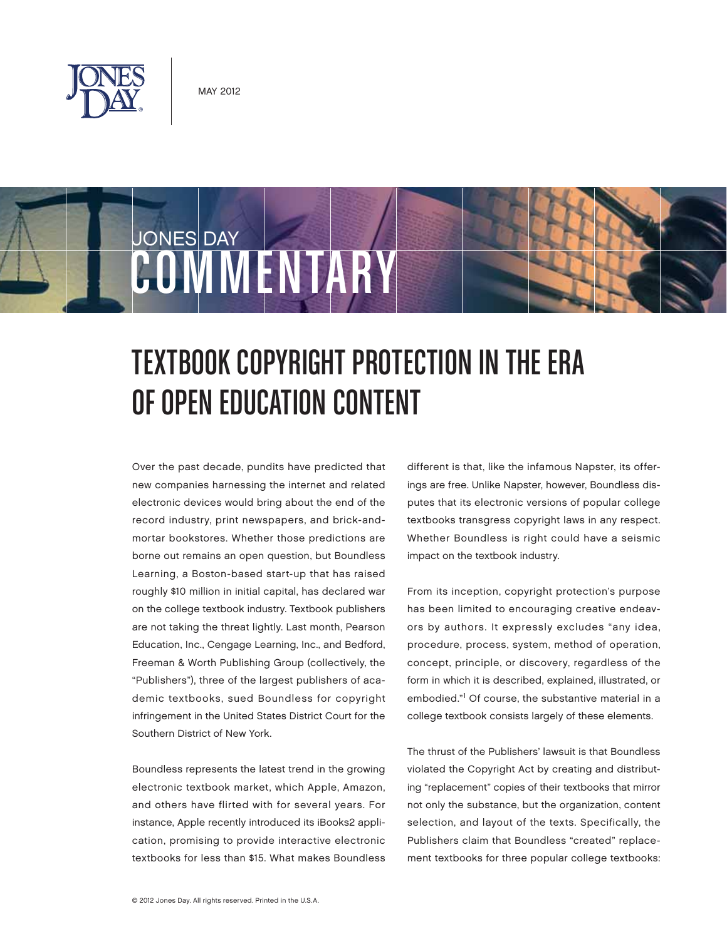

JONES DAY



Over the past decade, pundits have predicted that new companies harnessing the internet and related electronic devices would bring about the end of the record industry, print newspapers, and brick-andmortar bookstores. Whether those predictions are borne out remains an open question, but Boundless Learning, a Boston-based start-up that has raised roughly \$10 million in initial capital, has declared war on the college textbook industry. Textbook publishers are not taking the threat lightly. Last month, Pearson Education, Inc., Cengage Learning, Inc., and Bedford, Freeman & Worth Publishing Group (collectively, the "Publishers"), three of the largest publishers of academic textbooks, sued Boundless for copyright infringement in the United States District Court for the Southern District of New York.

COMMENTARY

Boundless represents the latest trend in the growing electronic textbook market, which Apple, Amazon, and others have flirted with for several years. For instance, Apple recently introduced its iBooks2 application, promising to provide interactive electronic textbooks for less than \$15. What makes Boundless different is that, like the infamous Napster, its offerings are free. Unlike Napster, however, Boundless disputes that its electronic versions of popular college textbooks transgress copyright laws in any respect. Whether Boundless is right could have a seismic impact on the textbook industry.

From its inception, copyright protection's purpose has been limited to encouraging creative endeavors by authors. It expressly excludes "any idea, procedure, process, system, method of operation, concept, principle, or discovery, regardless of the form in which it is described, explained, illustrated, or embodied."1 Of course, the substantive material in a college textbook consists largely of these elements.

The thrust of the Publishers' lawsuit is that Boundless violated the Copyright Act by creating and distributing "replacement" copies of their textbooks that mirror not only the substance, but the organization, content selection, and layout of the texts. Specifically, the Publishers claim that Boundless "created" replacement textbooks for three popular college textbooks: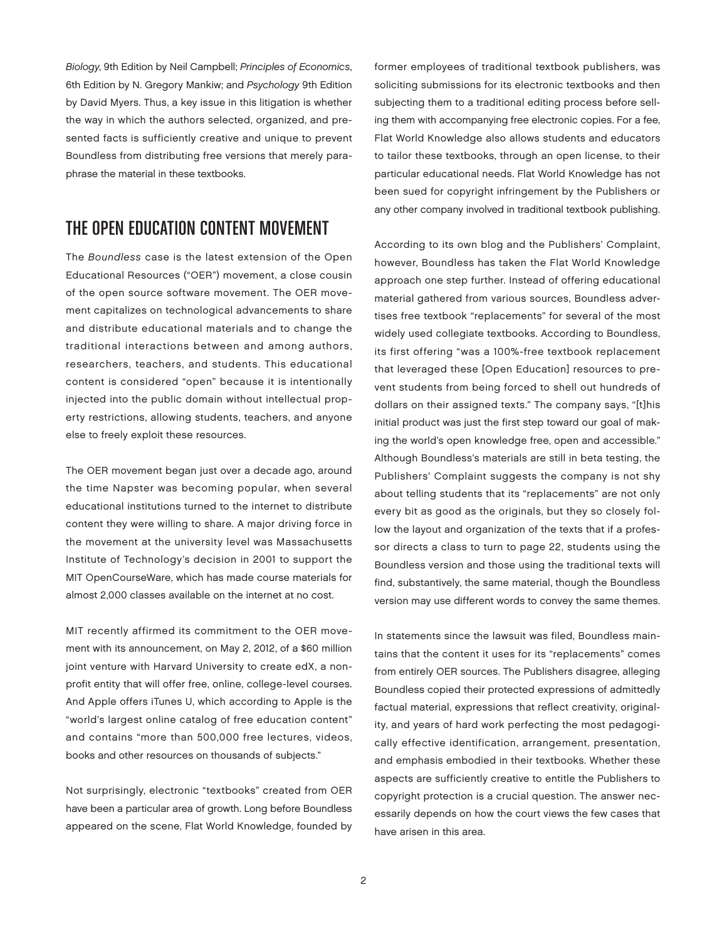Biology, 9th Edition by Neil Campbell; Principles of Economics, 6th Edition by N. Gregory Mankiw; and Psychology 9th Edition by David Myers. Thus, a key issue in this litigation is whether the way in which the authors selected, organized, and presented facts is sufficiently creative and unique to prevent Boundless from distributing free versions that merely paraphrase the material in these textbooks.

## THE OPEN EDUCATION CONTENT MOVEMENT

The Boundless case is the latest extension of the Open Educational Resources ("OER") movement, a close cousin of the open source software movement. The OER movement capitalizes on technological advancements to share and distribute educational materials and to change the traditional interactions between and among authors, researchers, teachers, and students. This educational content is considered "open" because it is intentionally injected into the public domain without intellectual property restrictions, allowing students, teachers, and anyone else to freely exploit these resources.

The OER movement began just over a decade ago, around the time Napster was becoming popular, when several educational institutions turned to the internet to distribute content they were willing to share. A major driving force in the movement at the university level was Massachusetts Institute of Technology's decision in 2001 to support the MIT OpenCourseWare, which has made course materials for almost 2,000 classes available on the internet at no cost.

MIT recently affirmed its commitment to the OER movement with its announcement, on May 2, 2012, of a \$60 million joint venture with Harvard University to create edX, a nonprofit entity that will offer free, online, college-level courses. And Apple offers iTunes U, which according to Apple is the "world's largest online catalog of free education content" and contains "more than 500,000 free lectures, videos, books and other resources on thousands of subjects."

Not surprisingly, electronic "textbooks" created from OER have been a particular area of growth. Long before Boundless appeared on the scene, Flat World Knowledge, founded by former employees of traditional textbook publishers, was soliciting submissions for its electronic textbooks and then subjecting them to a traditional editing process before selling them with accompanying free electronic copies. For a fee, Flat World Knowledge also allows students and educators to tailor these textbooks, through an open license, to their particular educational needs. Flat World Knowledge has not been sued for copyright infringement by the Publishers or any other company involved in traditional textbook publishing.

According to its own blog and the Publishers' Complaint, however, Boundless has taken the Flat World Knowledge approach one step further. Instead of offering educational material gathered from various sources, Boundless advertises free textbook "replacements" for several of the most widely used collegiate textbooks. According to Boundless, its first offering "was a 100%-free textbook replacement that leveraged these [Open Education] resources to prevent students from being forced to shell out hundreds of dollars on their assigned texts." The company says, "[t]his initial product was just the first step toward our goal of making the world's open knowledge free, open and accessible." Although Boundless's materials are still in beta testing, the Publishers' Complaint suggests the company is not shy about telling students that its "replacements" are not only every bit as good as the originals, but they so closely follow the layout and organization of the texts that if a professor directs a class to turn to page 22, students using the Boundless version and those using the traditional texts will find, substantively, the same material, though the Boundless version may use different words to convey the same themes.

In statements since the lawsuit was filed, Boundless maintains that the content it uses for its "replacements" comes from entirely OER sources. The Publishers disagree, alleging Boundless copied their protected expressions of admittedly factual material, expressions that reflect creativity, originality, and years of hard work perfecting the most pedagogically effective identification, arrangement, presentation, and emphasis embodied in their textbooks. Whether these aspects are sufficiently creative to entitle the Publishers to copyright protection is a crucial question. The answer necessarily depends on how the court views the few cases that have arisen in this area.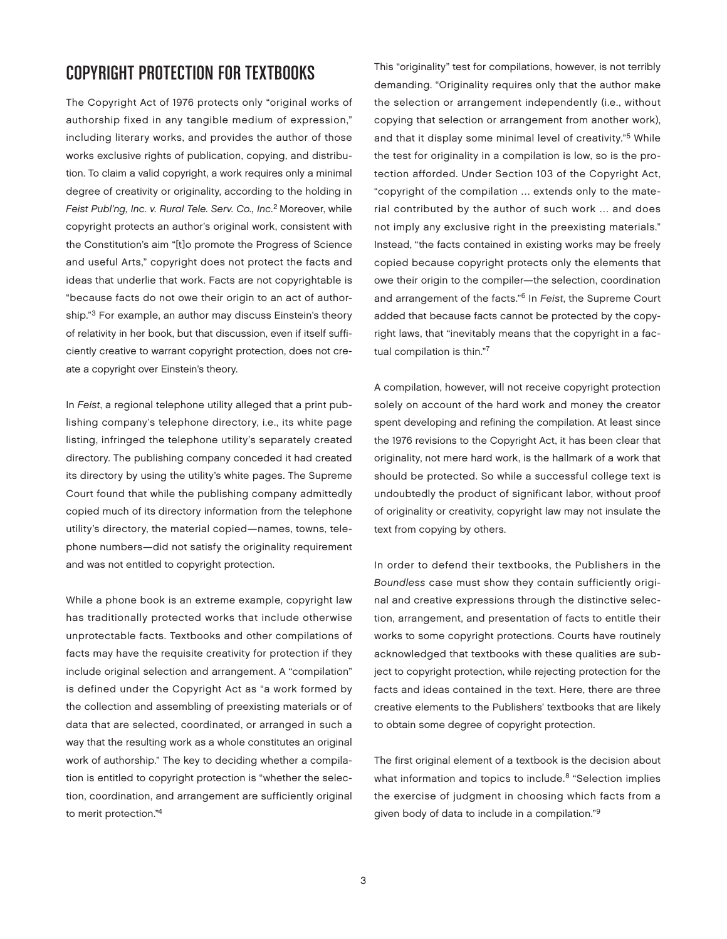# COPYRIGHT PROTECTION FOR TEXTBOOKS

The Copyright Act of 1976 protects only "original works of authorship fixed in any tangible medium of expression," including literary works, and provides the author of those works exclusive rights of publication, copying, and distribution. To claim a valid copyright, a work requires only a minimal degree of creativity or originality, according to the holding in Feist Publ'ng, Inc. v. Rural Tele. Serv. Co., Inc.<sup>2</sup> Moreover, while copyright protects an author's original work, consistent with the Constitution's aim "[t]o promote the Progress of Science and useful Arts," copyright does not protect the facts and ideas that underlie that work. Facts are not copyrightable is "because facts do not owe their origin to an act of authorship."3 For example, an author may discuss Einstein's theory of relativity in her book, but that discussion, even if itself sufficiently creative to warrant copyright protection, does not create a copyright over Einstein's theory.

In Feist, a regional telephone utility alleged that a print publishing company's telephone directory, i.e., its white page listing, infringed the telephone utility's separately created directory. The publishing company conceded it had created its directory by using the utility's white pages. The Supreme Court found that while the publishing company admittedly copied much of its directory information from the telephone utility's directory, the material copied—names, towns, telephone numbers—did not satisfy the originality requirement and was not entitled to copyright protection.

While a phone book is an extreme example, copyright law has traditionally protected works that include otherwise unprotectable facts. Textbooks and other compilations of facts may have the requisite creativity for protection if they include original selection and arrangement. A "compilation" is defined under the Copyright Act as "a work formed by the collection and assembling of preexisting materials or of data that are selected, coordinated, or arranged in such a way that the resulting work as a whole constitutes an original work of authorship." The key to deciding whether a compilation is entitled to copyright protection is "whether the selection, coordination, and arrangement are sufficiently original to merit protection."4

This "originality" test for compilations, however, is not terribly demanding. "Originality requires only that the author make the selection or arrangement independently (i.e., without copying that selection or arrangement from another work), and that it display some minimal level of creativity."5 While the test for originality in a compilation is low, so is the protection afforded. Under Section 103 of the Copyright Act, "copyright of the compilation … extends only to the material contributed by the author of such work … and does not imply any exclusive right in the preexisting materials." Instead, "the facts contained in existing works may be freely copied because copyright protects only the elements that owe their origin to the compiler—the selection, coordination and arrangement of the facts."6 In Feist, the Supreme Court added that because facts cannot be protected by the copyright laws, that "inevitably means that the copyright in a factual compilation is thin."7

A compilation, however, will not receive copyright protection solely on account of the hard work and money the creator spent developing and refining the compilation. At least since the 1976 revisions to the Copyright Act, it has been clear that originality, not mere hard work, is the hallmark of a work that should be protected. So while a successful college text is undoubtedly the product of significant labor, without proof of originality or creativity, copyright law may not insulate the text from copying by others.

In order to defend their textbooks, the Publishers in the Boundless case must show they contain sufficiently original and creative expressions through the distinctive selection, arrangement, and presentation of facts to entitle their works to some copyright protections. Courts have routinely acknowledged that textbooks with these qualities are subject to copyright protection, while rejecting protection for the facts and ideas contained in the text. Here, there are three creative elements to the Publishers' textbooks that are likely to obtain some degree of copyright protection.

The first original element of a textbook is the decision about what information and topics to include.<sup>8</sup> "Selection implies the exercise of judgment in choosing which facts from a given body of data to include in a compilation."9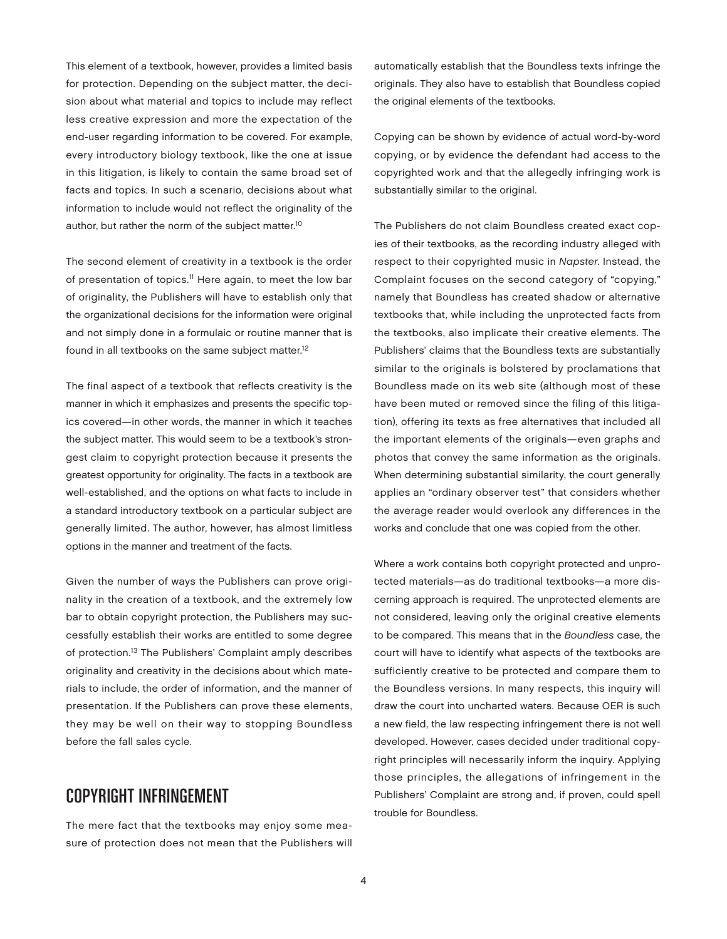This element of a textbook, however, provides a limited basis for protection. Depending on the subject matter, the decision about what material and topics to include may reflect less creative expression and more the expectation of the end-user regarding information to be covered. For example, every introductory biology textbook, like the one at issue in this litigation, is likely to contain the same broad set of facts and topics. In such a scenario, decisions about what information to include would not reflect the originality of the author, but rather the norm of the subject matter.10

The second element of creativity in a textbook is the order of presentation of topics.<sup>11</sup> Here again, to meet the low bar of originality, the Publishers will have to establish only that the organizational decisions for the information were original and not simply done in a formulaic or routine manner that is found in all textbooks on the same subject matter.<sup>12</sup>

The final aspect of a textbook that reflects creativity is the manner in which it emphasizes and presents the specific topics covered—in other words, the manner in which it teaches the subject matter. This would seem to be a textbook's strongest claim to copyright protection because it presents the greatest opportunity for originality. The facts in a textbook are well-established, and the options on what facts to include in a standard introductory textbook on a particular subject are generally limited. The author, however, has almost limitless options in the manner and treatment of the facts.

Given the number of ways the Publishers can prove originality in the creation of a textbook, and the extremely low bar to obtain copyright protection, the Publishers may successfully establish their works are entitled to some degree of protection.13 The Publishers' Complaint amply describes originality and creativity in the decisions about which materials to include, the order of information, and the manner of presentation. If the Publishers can prove these elements, they may be well on their way to stopping Boundless before the fall sales cycle.

### COPYRIGHT INFRINGEMENT

The mere fact that the textbooks may enjoy some measure of protection does not mean that the Publishers will

automatically establish that the Boundless texts infringe the originals. They also have to establish that Boundless copied the original elements of the textbooks.

Copying can be shown by evidence of actual word-by-word copying, or by evidence the defendant had access to the copyrighted work and that the allegedly infringing work is substantially similar to the original.

The Publishers do not claim Boundless created exact copies of their textbooks, as the recording industry alleged with respect to their copyrighted music in Napster. Instead, the Complaint focuses on the second category of "copying," namely that Boundless has created shadow or alternative textbooks that, while including the unprotected facts from the textbooks, also implicate their creative elements. The Publishers' claims that the Boundless texts are substantially similar to the originals is bolstered by proclamations that Boundless made on its web site (although most of these have been muted or removed since the filing of this litigation), offering its texts as free alternatives that included all the important elements of the originals—even graphs and photos that convey the same information as the originals. When determining substantial similarity, the court generally applies an "ordinary observer test" that considers whether the average reader would overlook any differences in the works and conclude that one was copied from the other.

Where a work contains both copyright protected and unprotected materials—as do traditional textbooks—a more discerning approach is required. The unprotected elements are not considered, leaving only the original creative elements to be compared. This means that in the Boundless case, the court will have to identify what aspects of the textbooks are sufficiently creative to be protected and compare them to the Boundless versions. In many respects, this inquiry will draw the court into uncharted waters. Because OER is such a new field, the law respecting infringement there is not well developed. However, cases decided under traditional copyright principles will necessarily inform the inquiry. Applying those principles, the allegations of infringement in the Publishers' Complaint are strong and, if proven, could spell trouble for Boundless.